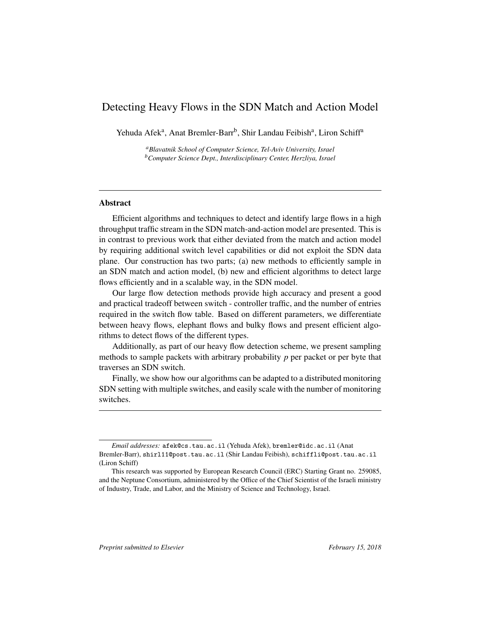# Detecting Heavy Flows in the SDN Match and Action Model

Yehuda Afek<sup>a</sup>, Anat Bremler-Barr<sup>b</sup>, Shir Landau Feibish<sup>a</sup>, Liron Schiff<sup>a</sup>

*<sup>a</sup>Blavatnik School of Computer Science, Tel-Aviv University, Israel <sup>b</sup>Computer Science Dept., Interdisciplinary Center, Herzliya, Israel*

## Abstract

Efficient algorithms and techniques to detect and identify large flows in a high throughput traffic stream in the SDN match-and-action model are presented. This is in contrast to previous work that either deviated from the match and action model by requiring additional switch level capabilities or did not exploit the SDN data plane. Our construction has two parts; (a) new methods to efficiently sample in an SDN match and action model, (b) new and efficient algorithms to detect large flows efficiently and in a scalable way, in the SDN model.

Our large flow detection methods provide high accuracy and present a good and practical tradeoff between switch - controller traffic, and the number of entries required in the switch flow table. Based on different parameters, we differentiate between heavy flows, elephant flows and bulky flows and present efficient algorithms to detect flows of the different types.

Additionally, as part of our heavy flow detection scheme, we present sampling methods to sample packets with arbitrary probability *p* per packet or per byte that traverses an SDN switch.

Finally, we show how our algorithms can be adapted to a distributed monitoring SDN setting with multiple switches, and easily scale with the number of monitoring switches.

*Email addresses:* afek@cs.tau.ac.il (Yehuda Afek), bremler@idc.ac.il (Anat Bremler-Barr), shirl11@post.tau.ac.il (Shir Landau Feibish), schiffli@post.tau.ac.il (Liron Schiff)

This research was supported by European Research Council (ERC) Starting Grant no. 259085, and the Neptune Consortium, administered by the Office of the Chief Scientist of the Israeli ministry of Industry, Trade, and Labor, and the Ministry of Science and Technology, Israel.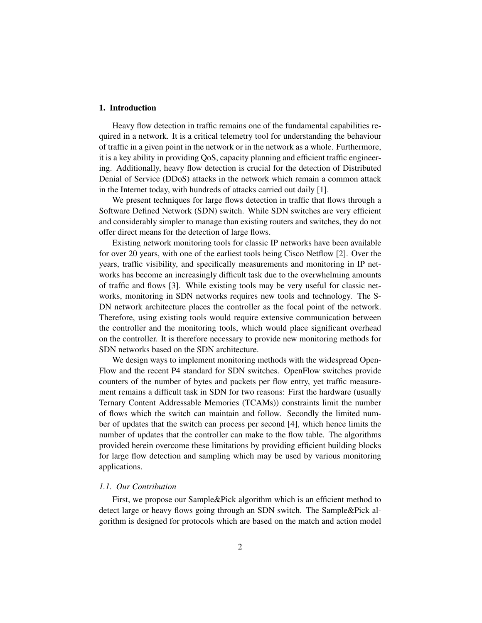## 1. Introduction

Heavy flow detection in traffic remains one of the fundamental capabilities required in a network. It is a critical telemetry tool for understanding the behaviour of traffic in a given point in the network or in the network as a whole. Furthermore, it is a key ability in providing QoS, capacity planning and efficient traffic engineering. Additionally, heavy flow detection is crucial for the detection of Distributed Denial of Service (DDoS) attacks in the network which remain a common attack in the Internet today, with hundreds of attacks carried out daily [1].

We present techniques for large flows detection in traffic that flows through a Software Defined Network (SDN) switch. While SDN switches are very efficient and considerably simpler to manage than existing routers and switches, they do not offer direct means for the detection of large flows.

Existing network monitoring tools for classic IP networks have been available for over 20 years, with one of the earliest tools being Cisco Netflow [2]. Over the years, traffic visibility, and specifically measurements and monitoring in IP networks has become an increasingly difficult task due to the overwhelming amounts of traffic and flows [3]. While existing tools may be very useful for classic networks, monitoring in SDN networks requires new tools and technology. The S-DN network architecture places the controller as the focal point of the network. Therefore, using existing tools would require extensive communication between the controller and the monitoring tools, which would place significant overhead on the controller. It is therefore necessary to provide new monitoring methods for SDN networks based on the SDN architecture.

We design ways to implement monitoring methods with the widespread Open-Flow and the recent P4 standard for SDN switches. OpenFlow switches provide counters of the number of bytes and packets per flow entry, yet traffic measurement remains a difficult task in SDN for two reasons: First the hardware (usually Ternary Content Addressable Memories (TCAMs)) constraints limit the number of flows which the switch can maintain and follow. Secondly the limited number of updates that the switch can process per second [4], which hence limits the number of updates that the controller can make to the flow table. The algorithms provided herein overcome these limitations by providing efficient building blocks for large flow detection and sampling which may be used by various monitoring applications.

## *1.1. Our Contribution*

First, we propose our Sample&Pick algorithm which is an efficient method to detect large or heavy flows going through an SDN switch. The Sample&Pick algorithm is designed for protocols which are based on the match and action model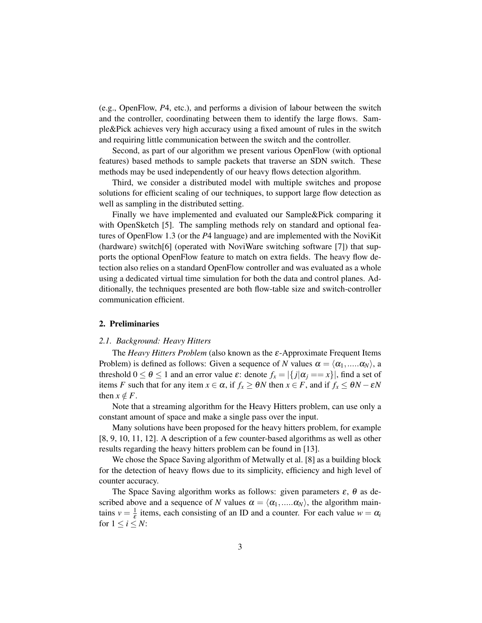(e.g., OpenFlow, *P*4, etc.), and performs a division of labour between the switch and the controller, coordinating between them to identify the large flows. Sample&Pick achieves very high accuracy using a fixed amount of rules in the switch and requiring little communication between the switch and the controller.

Second, as part of our algorithm we present various OpenFlow (with optional features) based methods to sample packets that traverse an SDN switch. These methods may be used independently of our heavy flows detection algorithm.

Third, we consider a distributed model with multiple switches and propose solutions for efficient scaling of our techniques, to support large flow detection as well as sampling in the distributed setting.

Finally we have implemented and evaluated our Sample&Pick comparing it with OpenSketch [5]. The sampling methods rely on standard and optional features of OpenFlow 1.3 (or the *P*4 language) and are implemented with the NoviKit (hardware) switch[6] (operated with NoviWare switching software [7]) that supports the optional OpenFlow feature to match on extra fields. The heavy flow detection also relies on a standard OpenFlow controller and was evaluated as a whole using a dedicated virtual time simulation for both the data and control planes. Additionally, the techniques presented are both flow-table size and switch-controller communication efficient.

## 2. Preliminaries

#### *2.1. Background: Heavy Hitters*

The *Heavy Hitters Problem* (also known as the ε-Approximate Frequent Items Problem) is defined as follows: Given a sequence of *N* values  $\alpha = \langle \alpha_1, \dots, \alpha_N \rangle$ , a threshold  $0 \le \theta \le 1$  and an error value  $\varepsilon$ : denote  $f_x = |\{j | \alpha_j == x\}|$ , find a set of items *F* such that for any item  $x \in \alpha$ , if  $f_x \ge \theta N$  then  $x \in F$ , and if  $f_x \le \theta N - \epsilon N$ then  $x \notin F$ .

Note that a streaming algorithm for the Heavy Hitters problem, can use only a constant amount of space and make a single pass over the input.

Many solutions have been proposed for the heavy hitters problem, for example [8, 9, 10, 11, 12]. A description of a few counter-based algorithms as well as other results regarding the heavy hitters problem can be found in [13].

We chose the Space Saving algorithm of Metwally et al. [8] as a building block for the detection of heavy flows due to its simplicity, efficiency and high level of counter accuracy.

The Space Saving algorithm works as follows: given parameters  $\varepsilon$ ,  $\theta$  as described above and a sequence of *N* values  $\alpha = \langle \alpha_1, \dots, \alpha_N \rangle$ , the algorithm maintains  $v = \frac{1}{5}$  $\frac{1}{\varepsilon}$  items, each consisting of an ID and a counter. For each value  $w = \alpha_i$ for  $1 \leq i \leq N$ :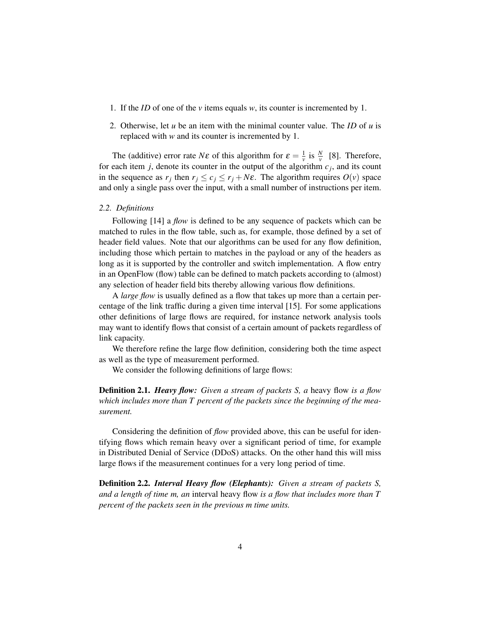- 1. If the *ID* of one of the *v* items equals *w*, its counter is incremented by 1.
- 2. Otherwise, let *u* be an item with the minimal counter value. The *ID* of *u* is replaced with *w* and its counter is incremented by 1.

The (additive) error rate *N*ε of this algorithm for  $\varepsilon = \frac{1}{v}$  is  $\frac{N}{v}$  [8]. Therefore, for each item  $j$ , denote its counter in the output of the algorithm  $c_j$ , and its count in the sequence as  $r_j$  then  $r_j \le c_j \le r_j + N\epsilon$ . The algorithm requires  $O(v)$  space and only a single pass over the input, with a small number of instructions per item.

## *2.2. Definitions*

Following [14] a *flow* is defined to be any sequence of packets which can be matched to rules in the flow table, such as, for example, those defined by a set of header field values. Note that our algorithms can be used for any flow definition, including those which pertain to matches in the payload or any of the headers as long as it is supported by the controller and switch implementation. A flow entry in an OpenFlow (flow) table can be defined to match packets according to (almost) any selection of header field bits thereby allowing various flow definitions.

A *large flow* is usually defined as a flow that takes up more than a certain percentage of the link traffic during a given time interval [15]. For some applications other definitions of large flows are required, for instance network analysis tools may want to identify flows that consist of a certain amount of packets regardless of link capacity.

We therefore refine the large flow definition, considering both the time aspect as well as the type of measurement performed.

We consider the following definitions of large flows:

## **Definition 2.1.** *Heavy flow: Given a stream of packets S, a heavy flow is a flow which includes more than T percent of the packets since the beginning of the measurement.*

Considering the definition of *flow* provided above, this can be useful for identifying flows which remain heavy over a significant period of time, for example in Distributed Denial of Service (DDoS) attacks. On the other hand this will miss large flows if the measurement continues for a very long period of time.

Definition 2.2. *Interval Heavy flow (Elephants): Given a stream of packets S, and a length of time m, an* interval heavy flow *is a flow that includes more than T percent of the packets seen in the previous m time units.*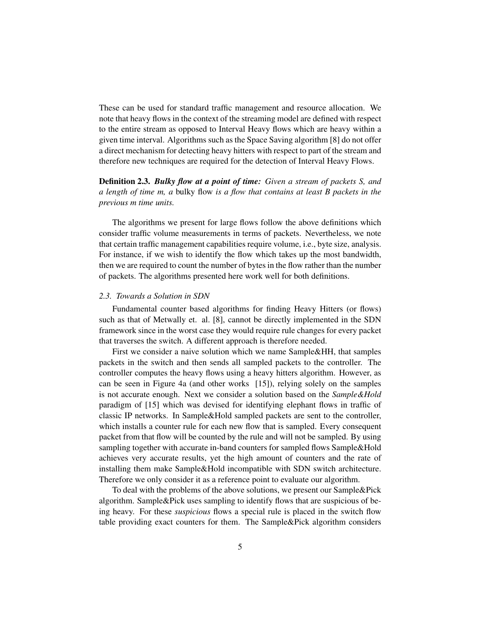These can be used for standard traffic management and resource allocation. We note that heavy flows in the context of the streaming model are defined with respect to the entire stream as opposed to Interval Heavy flows which are heavy within a given time interval. Algorithms such as the Space Saving algorithm [8] do not offer a direct mechanism for detecting heavy hitters with respect to part of the stream and therefore new techniques are required for the detection of Interval Heavy Flows.

Definition 2.3. *Bulky flow at a point of time: Given a stream of packets S, and a length of time m, a* bulky flow *is a flow that contains at least B packets in the previous m time units.*

The algorithms we present for large flows follow the above definitions which consider traffic volume measurements in terms of packets. Nevertheless, we note that certain traffic management capabilities require volume, i.e., byte size, analysis. For instance, if we wish to identify the flow which takes up the most bandwidth, then we are required to count the number of bytes in the flow rather than the number of packets. The algorithms presented here work well for both definitions.

#### *2.3. Towards a Solution in SDN*

Fundamental counter based algorithms for finding Heavy Hitters (or flows) such as that of Metwally et. al. [8], cannot be directly implemented in the SDN framework since in the worst case they would require rule changes for every packet that traverses the switch. A different approach is therefore needed.

First we consider a naive solution which we name Sample&HH, that samples packets in the switch and then sends all sampled packets to the controller. The controller computes the heavy flows using a heavy hitters algorithm. However, as can be seen in Figure 4a (and other works [15]), relying solely on the samples is not accurate enough. Next we consider a solution based on the *Sample&Hold* paradigm of [15] which was devised for identifying elephant flows in traffic of classic IP networks. In Sample&Hold sampled packets are sent to the controller, which installs a counter rule for each new flow that is sampled. Every consequent packet from that flow will be counted by the rule and will not be sampled. By using sampling together with accurate in-band counters for sampled flows Sample&Hold achieves very accurate results, yet the high amount of counters and the rate of installing them make Sample&Hold incompatible with SDN switch architecture. Therefore we only consider it as a reference point to evaluate our algorithm.

To deal with the problems of the above solutions, we present our Sample&Pick algorithm. Sample&Pick uses sampling to identify flows that are suspicious of being heavy. For these *suspicious* flows a special rule is placed in the switch flow table providing exact counters for them. The Sample&Pick algorithm considers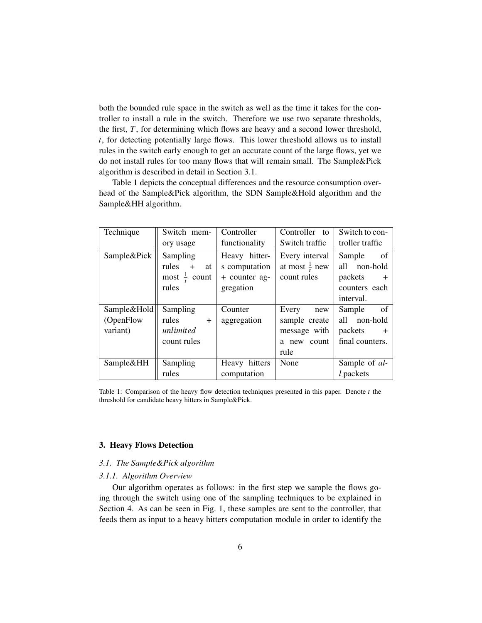both the bounded rule space in the switch as well as the time it takes for the controller to install a rule in the switch. Therefore we use two separate thresholds, the first, *T*, for determining which flows are heavy and a second lower threshold, *t*, for detecting potentially large flows. This lower threshold allows us to install rules in the switch early enough to get an accurate count of the large flows, yet we do not install rules for too many flows that will remain small. The Sample&Pick algorithm is described in detail in Section 3.1.

Table 1 depicts the conceptual differences and the resource consumption overhead of the Sample&Pick algorithm, the SDN Sample&Hold algorithm and the Sample&HH algorithm.

| Technique   | Switch mem-              | Controller    | Controller to             | Switch to con-          |
|-------------|--------------------------|---------------|---------------------------|-------------------------|
|             | ory usage                | functionality | Switch traffic            | troller traffic         |
| Sample&Pick | Sampling                 | Heavy hitter- | Every interval            | - of<br>Sample          |
|             | rules<br>$+$<br>at       | s computation | at most $\frac{1}{t}$ new | all non-hold            |
|             | most $\frac{1}{t}$ count | + counter ag- | count rules               | packets                 |
|             | rules                    | gregation     |                           | counters each           |
|             |                          |               |                           | interval.               |
| Sample&Hold | Sampling                 | Counter       | Every<br>new              | <sub>of</sub><br>Sample |
| (OpenFlow   | rules<br>$+$             | aggregation   | sample create             | all non-hold            |
| variant)    | unlimited                |               | message with              | packets<br>$+$          |
|             | count rules              |               | count<br>a new            | final counters.         |
|             |                          |               | rule                      |                         |
| Sample&HH   | Sampling                 | Heavy hitters | None                      | Sample of al-           |
|             | rules                    | computation   |                           | $l$ packets             |

Table 1: Comparison of the heavy flow detection techniques presented in this paper. Denote *t* the threshold for candidate heavy hitters in Sample&Pick.

#### 3. Heavy Flows Detection

## *3.1. The Sample&Pick algorithm*

## *3.1.1. Algorithm Overview*

Our algorithm operates as follows: in the first step we sample the flows going through the switch using one of the sampling techniques to be explained in Section 4. As can be seen in Fig. 1, these samples are sent to the controller, that feeds them as input to a heavy hitters computation module in order to identify the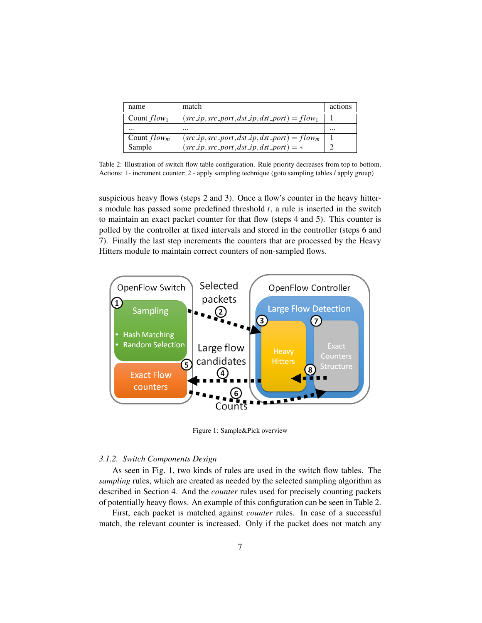| name           | match                                               | actions   |
|----------------|-----------------------------------------------------|-----------|
| Count $flow_1$ | $(src\_ip, src\_port, dst\_ip, dst\_port) = flow_1$ |           |
|                | $\cdots$                                            | $\ddotsc$ |
| Count $flow_m$ | $(src_ip, src-port, dst-ip, dst-port) = flow_m$     |           |
| Sample         | $(src_ip, src-port, dst-ip, dst-port) = *$          |           |

Table 2: Illustration of switch flow table configuration. Rule priority decreases from top to bottom. Actions: 1- increment counter; 2 - apply sampling technique (goto sampling tables / apply group)

suspicious heavy flows (steps 2 and 3). Once a flow's counter in the heavy hitters module has passed some predefined threshold *t*, a rule is inserted in the switch to maintain an exact packet counter for that flow (steps 4 and 5). This counter is polled by the controller at fixed intervals and stored in the controller (steps 6 and 7). Finally the last step increments the counters that are processed by the Heavy Hitters module to maintain correct counters of non-sampled flows.



Figure 1: Sample&Pick overview

## *3.1.2. Switch Components Design*

As seen in Fig. 1, two kinds of rules are used in the switch flow tables. The *sampling* rules, which are created as needed by the selected sampling algorithm as described in Section 4. And the *counter* rules used for precisely counting packets of potentially heavy flows. An example of this configuration can be seen in Table 2.

First, each packet is matched against *counter* rules. In case of a successful match, the relevant counter is increased. Only if the packet does not match any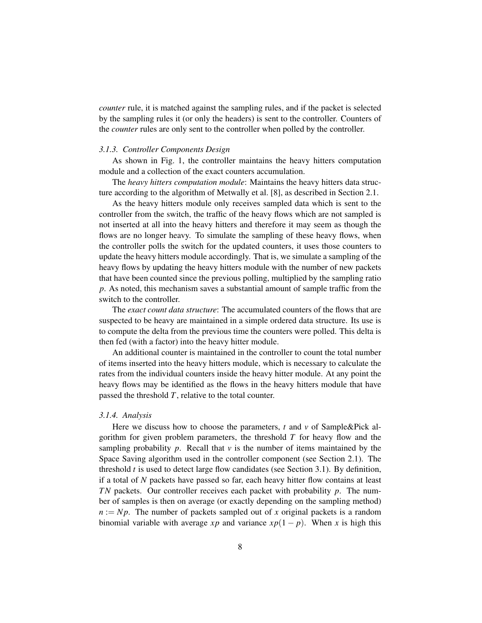*counter* rule, it is matched against the sampling rules, and if the packet is selected by the sampling rules it (or only the headers) is sent to the controller. Counters of the *counter* rules are only sent to the controller when polled by the controller.

#### *3.1.3. Controller Components Design*

As shown in Fig. 1, the controller maintains the heavy hitters computation module and a collection of the exact counters accumulation.

The *heavy hitters computation module*: Maintains the heavy hitters data structure according to the algorithm of Metwally et al. [8], as described in Section 2.1.

As the heavy hitters module only receives sampled data which is sent to the controller from the switch, the traffic of the heavy flows which are not sampled is not inserted at all into the heavy hitters and therefore it may seem as though the flows are no longer heavy. To simulate the sampling of these heavy flows, when the controller polls the switch for the updated counters, it uses those counters to update the heavy hitters module accordingly. That is, we simulate a sampling of the heavy flows by updating the heavy hitters module with the number of new packets that have been counted since the previous polling, multiplied by the sampling ratio *p*. As noted, this mechanism saves a substantial amount of sample traffic from the switch to the controller.

The *exact count data structure*: The accumulated counters of the flows that are suspected to be heavy are maintained in a simple ordered data structure. Its use is to compute the delta from the previous time the counters were polled. This delta is then fed (with a factor) into the heavy hitter module.

An additional counter is maintained in the controller to count the total number of items inserted into the heavy hitters module, which is necessary to calculate the rates from the individual counters inside the heavy hitter module. At any point the heavy flows may be identified as the flows in the heavy hitters module that have passed the threshold *T*, relative to the total counter.

#### *3.1.4. Analysis*

Here we discuss how to choose the parameters, *t* and *v* of Sample&Pick algorithm for given problem parameters, the threshold *T* for heavy flow and the sampling probability *p*. Recall that  $\nu$  is the number of items maintained by the Space Saving algorithm used in the controller component (see Section 2.1). The threshold *t* is used to detect large flow candidates (see Section 3.1). By definition, if a total of *N* packets have passed so far, each heavy hitter flow contains at least *TN* packets. Our controller receives each packet with probability *p*. The number of samples is then on average (or exactly depending on the sampling method)  $n := Np$ . The number of packets sampled out of *x* original packets is a random binomial variable with average  $xp$  and variance  $xp(1-p)$ . When x is high this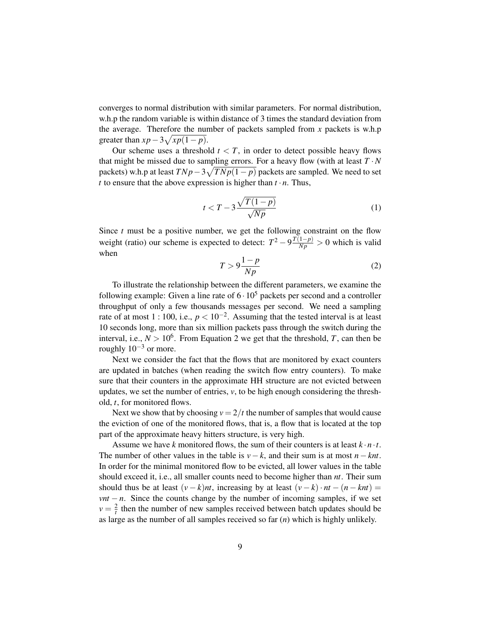converges to normal distribution with similar parameters. For normal distribution, w.h.p the random variable is within distance of 3 times the standard deviation from the average. Therefore the number of packets sampled from *x* packets is w.h.p greater than  $xp - 3\sqrt{xp(1-p)}$ .

Our scheme uses a threshold  $t < T$ , in order to detect possible heavy flows that might be missed due to sampling errors. For a heavy flow (with at least  $T \cdot N$ packets) w.h.p at least  $T N p - 3 \sqrt{T N p (1-p)}$  packets are sampled. We need to set *t* to ensure that the above expression is higher than  $t \cdot n$ . Thus,

$$
t < T - 3\frac{\sqrt{T(1-p)}}{\sqrt{Np}}\tag{1}
$$

Since *t* must be a positive number, we get the following constraint on the flow weight (ratio) our scheme is expected to detect:  $T^2 - 9 \frac{T(1-p)}{Np} > 0$  which is valid when

$$
T > 9 \frac{1-p}{Np} \tag{2}
$$

To illustrate the relationship between the different parameters, we examine the following example: Given a line rate of  $6 \cdot 10^5$  packets per second and a controller throughput of only a few thousands messages per second. We need a sampling rate of at most 1 : 100, i.e.,  $p < 10^{-2}$ . Assuming that the tested interval is at least 10 seconds long, more than six million packets pass through the switch during the interval, i.e.,  $N > 10^6$ . From Equation 2 we get that the threshold, T, can then be roughly  $10^{-3}$  or more.

Next we consider the fact that the flows that are monitored by exact counters are updated in batches (when reading the switch flow entry counters). To make sure that their counters in the approximate HH structure are not evicted between updates, we set the number of entries,  $v$ , to be high enough considering the threshold, *t*, for monitored flows.

Next we show that by choosing  $v = 2/t$  the number of samples that would cause the eviction of one of the monitored flows, that is, a flow that is located at the top part of the approximate heavy hitters structure, is very high.

Assume we have *k* monitored flows, the sum of their counters is at least  $k \cdot n \cdot t$ . The number of other values in the table is  $v - k$ , and their sum is at most  $n - knt$ . In order for the minimal monitored flow to be evicted, all lower values in the table should exceed it, i.e., all smaller counts need to become higher than *nt*. Their sum should thus be at least  $(v - k)nt$ , increasing by at least  $(v - k) \cdot nt - (n - knt) =$ *vnt* − *n*. Since the counts change by the number of incoming samples, if we set  $v = \frac{2}{t}$  then the number of new samples received between batch updates should be as large as the number of all samples received so far (*n*) which is highly unlikely.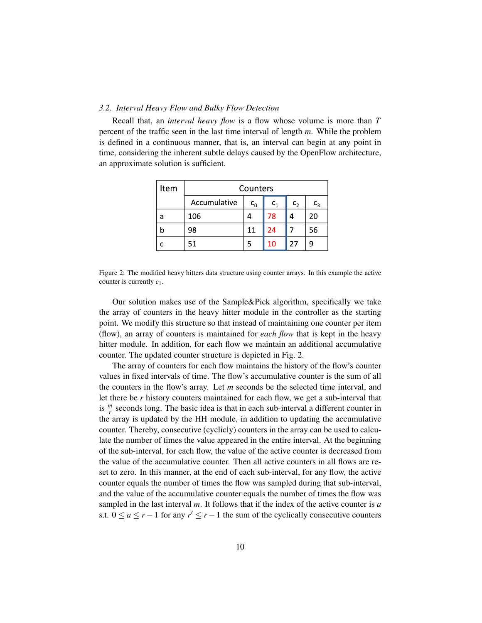## *3.2. Interval Heavy Flow and Bulky Flow Detection*

Recall that, an *interval heavy flow* is a flow whose volume is more than *T* percent of the traffic seen in the last time interval of length *m*. While the problem is defined in a continuous manner, that is, an interval can begin at any point in time, considering the inherent subtle delays caused by the OpenFlow architecture, an approximate solution is sufficient.

| Item | Counters     |         |       |                |       |
|------|--------------|---------|-------|----------------|-------|
|      | Accumulative | $c_{0}$ | $C_1$ | c <sub>2</sub> | $C_3$ |
| а    | 106          |         | 78    |                | 20    |
|      | 98           | 11      | 24    |                | 56    |
|      | 51           |         | 10    | 27             | ٩     |

Figure 2: The modified heavy hitters data structure using counter arrays. In this example the active counter is currently *c*1.

Our solution makes use of the Sample&Pick algorithm, specifically we take the array of counters in the heavy hitter module in the controller as the starting point. We modify this structure so that instead of maintaining one counter per item (flow), an array of counters is maintained for *each flow* that is kept in the heavy hitter module. In addition, for each flow we maintain an additional accumulative counter. The updated counter structure is depicted in Fig. 2.

The array of counters for each flow maintains the history of the flow's counter values in fixed intervals of time. The flow's accumulative counter is the sum of all the counters in the flow's array. Let *m* seconds be the selected time interval, and let there be *r* history counters maintained for each flow, we get a sub-interval that is  $\frac{m}{r}$  seconds long. The basic idea is that in each sub-interval a different counter in the array is updated by the HH module, in addition to updating the accumulative counter. Thereby, consecutive (cyclicly) counters in the array can be used to calculate the number of times the value appeared in the entire interval. At the beginning of the sub-interval, for each flow, the value of the active counter is decreased from the value of the accumulative counter. Then all active counters in all flows are reset to zero. In this manner, at the end of each sub-interval, for any flow, the active counter equals the number of times the flow was sampled during that sub-interval, and the value of the accumulative counter equals the number of times the flow was sampled in the last interval *m*. It follows that if the index of the active counter is *a* s.t.  $0 \le a \le r - 1$  for any  $r' \le r - 1$  the sum of the cyclically consecutive counters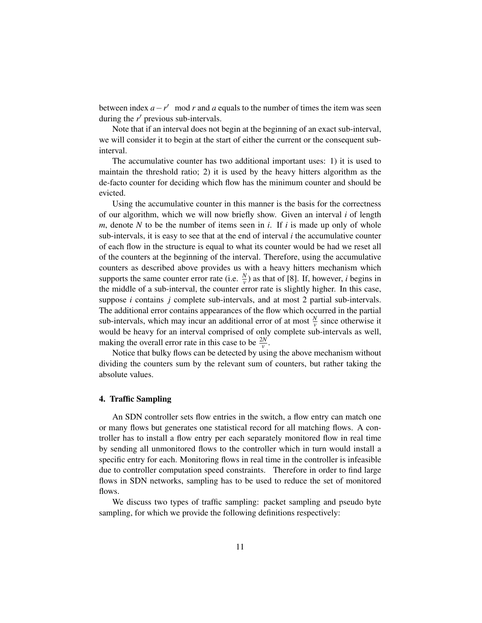between index  $a - r'$  mod  $r$  and  $a$  equals to the number of times the item was seen during the  $r'$  previous sub-intervals.

Note that if an interval does not begin at the beginning of an exact sub-interval, we will consider it to begin at the start of either the current or the consequent subinterval.

The accumulative counter has two additional important uses: 1) it is used to maintain the threshold ratio; 2) it is used by the heavy hitters algorithm as the de-facto counter for deciding which flow has the minimum counter and should be evicted.

Using the accumulative counter in this manner is the basis for the correctness of our algorithm, which we will now briefly show. Given an interval *i* of length *m*, denote *N* to be the number of items seen in *i*. If *i* is made up only of whole sub-intervals, it is easy to see that at the end of interval  $i$  the accumulative counter of each flow in the structure is equal to what its counter would be had we reset all of the counters at the beginning of the interval. Therefore, using the accumulative counters as described above provides us with a heavy hitters mechanism which supports the same counter error rate (i.e.  $\frac{N}{v}$ ) as that of [8]. If, however, *i* begins in the middle of a sub-interval, the counter error rate is slightly higher. In this case, suppose *i* contains *j* complete sub-intervals, and at most 2 partial sub-intervals. The additional error contains appearances of the flow which occurred in the partial sub-intervals, which may incur an additional error of at most  $\frac{N}{\nu}$  since otherwise it would be heavy for an interval comprised of only complete sub-intervals as well, making the overall error rate in this case to be  $\frac{2N}{v}$ .

Notice that bulky flows can be detected by using the above mechanism without dividing the counters sum by the relevant sum of counters, but rather taking the absolute values.

#### 4. Traffic Sampling

An SDN controller sets flow entries in the switch, a flow entry can match one or many flows but generates one statistical record for all matching flows. A controller has to install a flow entry per each separately monitored flow in real time by sending all unmonitored flows to the controller which in turn would install a specific entry for each. Monitoring flows in real time in the controller is infeasible due to controller computation speed constraints. Therefore in order to find large flows in SDN networks, sampling has to be used to reduce the set of monitored flows.

We discuss two types of traffic sampling: packet sampling and pseudo byte sampling, for which we provide the following definitions respectively: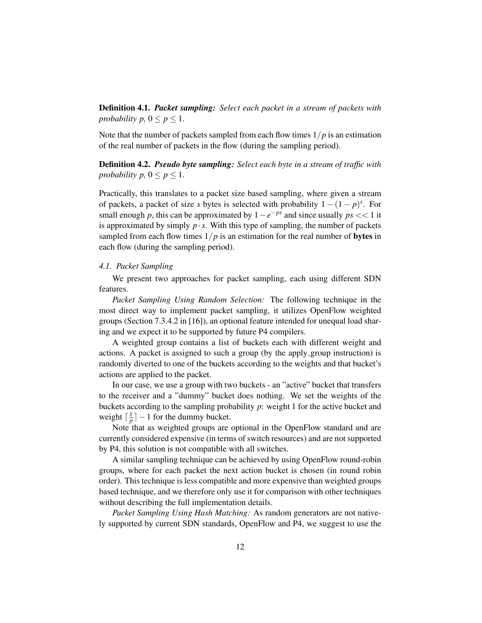Definition 4.1. *Packet sampling: Select each packet in a stream of packets with probability p,*  $0 \le p \le 1$ *.* 

Note that the number of packets sampled from each flow times  $1/p$  is an estimation of the real number of packets in the flow (during the sampling period).

Definition 4.2. *Pseudo byte sampling: Select each byte in a stream of traffic with probability p,*  $0 \le p \le 1$ *.* 

Practically, this translates to a packet size based sampling, where given a stream of packets, a packet of size *s* bytes is selected with probability  $1 - (1 - p)^s$ . For small enough *p*, this can be approximated by  $1 - e^{-ps}$  and since usually  $ps \lt \lt 1$  it is approximated by simply  $p \cdot s$ . With this type of sampling, the number of packets sampled from each flow times  $1/p$  is an estimation for the real number of **bytes** in each flow (during the sampling period).

## *4.1. Packet Sampling*

We present two approaches for packet sampling, each using different SDN features.

*Packet Sampling Using Random Selection:* The following technique in the most direct way to implement packet sampling, it utilizes OpenFlow weighted groups (Section 7.3.4.2 in [16]), an optional feature intended for unequal load sharing and we expect it to be supported by future P4 compilers.

A weighted group contains a list of buckets each with different weight and actions. A packet is assigned to such a group (by the apply group instruction) is randomly diverted to one of the buckets according to the weights and that bucket's actions are applied to the packet.

In our case, we use a group with two buckets - an "active" bucket that transfers to the receiver and a "dummy" bucket does nothing. We set the weights of the buckets according to the sampling probability *p*: weight 1 for the active bucket and weight  $\lceil \frac{1}{p} \rceil - 1$  for the dummy bucket.

Note that as weighted groups are optional in the OpenFlow standard and are currently considered expensive (in terms of switch resources) and are not supported by P4, this solution is not compatible with all switches.

A similar sampling technique can be achieved by using OpenFlow round-robin groups, where for each packet the next action bucket is chosen (in round robin order). This technique is less compatible and more expensive than weighted groups based technique, and we therefore only use it for comparison with other techniques without describing the full implementation details.

*Packet Sampling Using Hash Matching:* As random generators are not natively supported by current SDN standards, OpenFlow and P4, we suggest to use the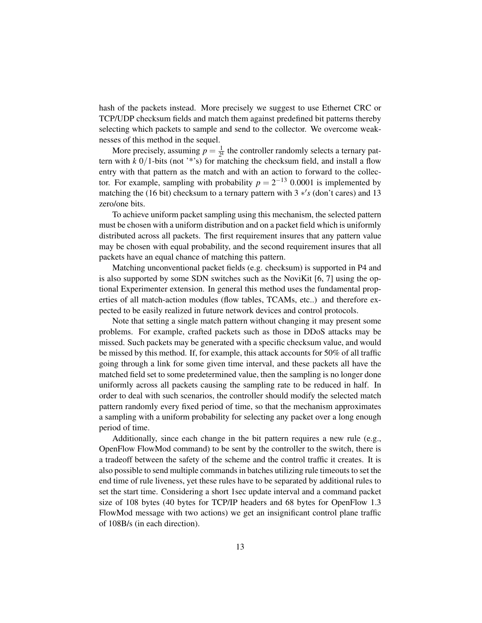hash of the packets instead. More precisely we suggest to use Ethernet CRC or TCP/UDP checksum fields and match them against predefined bit patterns thereby selecting which packets to sample and send to the collector. We overcome weaknesses of this method in the sequel.

More precisely, assuming  $p = \frac{1}{2l}$  $\frac{1}{2^k}$  the controller randomly selects a ternary pattern with  $k \frac{0}{1}$ -bits (not '\*'s) for matching the checksum field, and install a flow entry with that pattern as the match and with an action to forward to the collector. For example, sampling with probability  $p = 2^{-13}$  0.0001 is implemented by matching the (16 bit) checksum to a ternary pattern with 3  $\frac{s}{s}$  (don't cares) and 13 zero/one bits.

To achieve uniform packet sampling using this mechanism, the selected pattern must be chosen with a uniform distribution and on a packet field which is uniformly distributed across all packets. The first requirement insures that any pattern value may be chosen with equal probability, and the second requirement insures that all packets have an equal chance of matching this pattern.

Matching unconventional packet fields (e.g. checksum) is supported in P4 and is also supported by some SDN switches such as the NoviKit  $[6, 7]$  using the optional Experimenter extension. In general this method uses the fundamental properties of all match-action modules (flow tables, TCAMs, etc..) and therefore expected to be easily realized in future network devices and control protocols.

Note that setting a single match pattern without changing it may present some problems. For example, crafted packets such as those in DDoS attacks may be missed. Such packets may be generated with a specific checksum value, and would be missed by this method. If, for example, this attack accounts for 50% of all traffic going through a link for some given time interval, and these packets all have the matched field set to some predetermined value, then the sampling is no longer done uniformly across all packets causing the sampling rate to be reduced in half. In order to deal with such scenarios, the controller should modify the selected match pattern randomly every fixed period of time, so that the mechanism approximates a sampling with a uniform probability for selecting any packet over a long enough period of time.

Additionally, since each change in the bit pattern requires a new rule (e.g., OpenFlow FlowMod command) to be sent by the controller to the switch, there is a tradeoff between the safety of the scheme and the control traffic it creates. It is also possible to send multiple commands in batches utilizing rule timeouts to set the end time of rule liveness, yet these rules have to be separated by additional rules to set the start time. Considering a short 1sec update interval and a command packet size of 108 bytes (40 bytes for TCP/IP headers and 68 bytes for OpenFlow 1.3 FlowMod message with two actions) we get an insignificant control plane traffic of 108B/s (in each direction).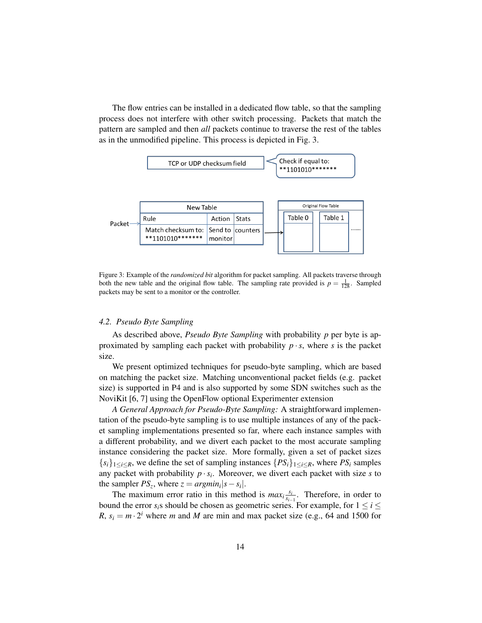The flow entries can be installed in a dedicated flow table, so that the sampling process does not interfere with other switch processing. Packets that match the pattern are sampled and then *all* packets continue to traverse the rest of the tables as in the unmodified pipeline. This process is depicted in Fig. 3.



Figure 3: Example of the *randomized bit* algorithm for packet sampling. All packets traverse through both the new table and the original flow table. The sampling rate provided is  $p = \frac{1}{128}$ . Sampled packets may be sent to a monitor or the controller.

#### *4.2. Pseudo Byte Sampling*

As described above, *Pseudo Byte Sampling* with probability *p* per byte is approximated by sampling each packet with probability  $p \cdot s$ , where *s* is the packet size.

We present optimized techniques for pseudo-byte sampling, which are based on matching the packet size. Matching unconventional packet fields (e.g. packet size) is supported in P4 and is also supported by some SDN switches such as the NoviKit [6, 7] using the OpenFlow optional Experimenter extension

*A General Approach for Pseudo-Byte Sampling:* A straightforward implementation of the pseudo-byte sampling is to use multiple instances of any of the packet sampling implementations presented so far, where each instance samples with a different probability, and we divert each packet to the most accurate sampling instance considering the packet size. More formally, given a set of packet sizes  ${s_i}_{1 \leq i \leq R}$ , we define the set of sampling instances  ${PS_i}_{1 \leq i \leq R}$ , where  $PS_i$  samples any packet with probability  $p \cdot s_i$ . Moreover, we divert each packet with size *s* to the sampler  $PS_z$ , where  $z = argmin_i |s - s_i|$ .

The maximum error ratio in this method is  $max_i \frac{s_i}{s_i}$ *s*<sup>*si*</sup>−1</sub>. Therefore, in order to bound the error  $s_i$ s should be chosen as geometric series. For example, for  $1 \le i \le n$ *R*,  $s_i = m \cdot 2^i$  where *m* and *M* are min and max packet size (e.g., 64 and 1500 for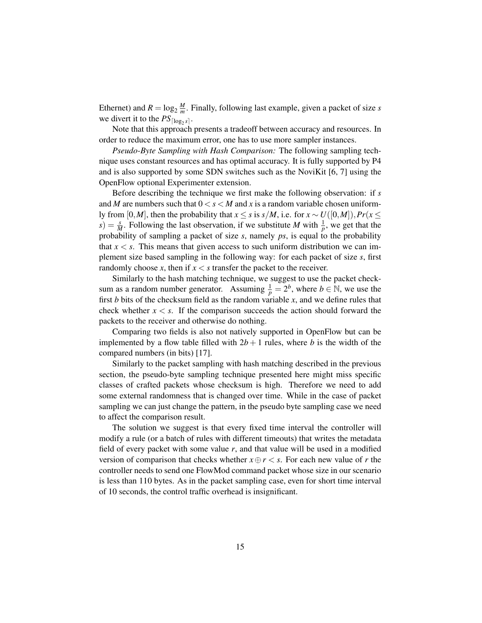Ethernet) and  $R = \log_2 \frac{M}{m}$ *m* . Finally, following last example, given a packet of size *s* we divert it to the  $PS_{\lceil \log_2 s \rceil}$ .

Note that this approach presents a tradeoff between accuracy and resources. In order to reduce the maximum error, one has to use more sampler instances.

*Pseudo-Byte Sampling with Hash Comparison:* The following sampling technique uses constant resources and has optimal accuracy. It is fully supported by P4 and is also supported by some SDN switches such as the NoviKit [6, 7] using the OpenFlow optional Experimenter extension.

Before describing the technique we first make the following observation: if *s* and *M* are numbers such that  $0 < s < M$  and *x* is a random variable chosen uniformly from [0,*M*], then the probability that *x* ≤ *s* is *s*/*M*, i.e. for *x* ∼ *U*([0,*M*]), *Pr*(*x* ≤  $s) = \frac{s}{M}$ . Following the last observation, if we substitute *M* with  $\frac{1}{p}$ , we get that the probability of sampling a packet of size *s*, namely *ps*, is equal to the probability that  $x < s$ . This means that given access to such uniform distribution we can implement size based sampling in the following way: for each packet of size *s*, first randomly choose *x*, then if  $x < s$  transfer the packet to the receiver.

Similarly to the hash matching technique, we suggest to use the packet checksum as a random number generator. Assuming  $\frac{1}{p} = 2^b$ , where  $b \in \mathbb{N}$ , we use the first *b* bits of the checksum field as the random variable *x*, and we define rules that check whether  $x < s$ . If the comparison succeeds the action should forward the packets to the receiver and otherwise do nothing.

Comparing two fields is also not natively supported in OpenFlow but can be implemented by a flow table filled with  $2b + 1$  rules, where *b* is the width of the compared numbers (in bits) [17].

Similarly to the packet sampling with hash matching described in the previous section, the pseudo-byte sampling technique presented here might miss specific classes of crafted packets whose checksum is high. Therefore we need to add some external randomness that is changed over time. While in the case of packet sampling we can just change the pattern, in the pseudo byte sampling case we need to affect the comparison result.

The solution we suggest is that every fixed time interval the controller will modify a rule (or a batch of rules with different timeouts) that writes the metadata field of every packet with some value  $r$ , and that value will be used in a modified version of comparison that checks whether  $x \oplus r < s$ . For each new value of *r* the controller needs to send one FlowMod command packet whose size in our scenario is less than 110 bytes. As in the packet sampling case, even for short time interval of 10 seconds, the control traffic overhead is insignificant.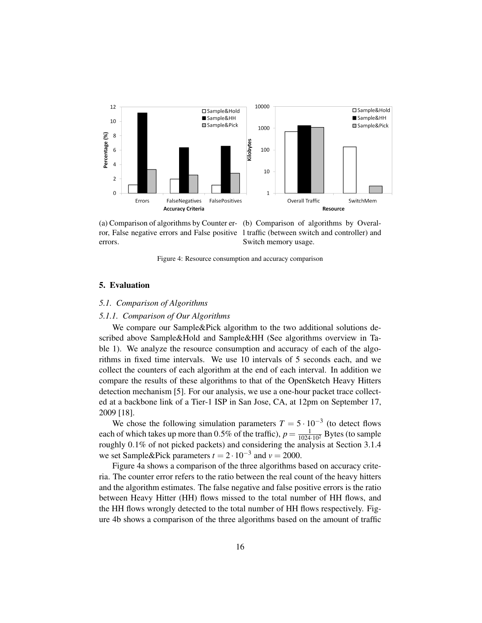

ror, False negative errors and False positive l traffic (between switch and controller) and errors.

(a) Comparison of algorithms by Counter er-(b) Comparison of algorithms by Overal-Switch memory usage.

Figure 4: Resource consumption and accuracy comparison

#### 5. Evaluation

#### *5.1. Comparison of Algorithms*

#### *5.1.1. Comparison of Our Algorithms*

We compare our Sample&Pick algorithm to the two additional solutions described above Sample&Hold and Sample&HH (See algorithms overview in Table 1). We analyze the resource consumption and accuracy of each of the algorithms in fixed time intervals. We use 10 intervals of 5 seconds each, and we collect the counters of each algorithm at the end of each interval. In addition we compare the results of these algorithms to that of the OpenSketch Heavy Hitters detection mechanism [5]. For our analysis, we use a one-hour packet trace collected at a backbone link of a Tier-1 ISP in San Jose, CA, at 12pm on September 17, 2009 [18].

We chose the following simulation parameters  $T = 5 \cdot 10^{-3}$  (to detect flows each of which takes up more than  $0.5\%$  of the traffic),  $p = \frac{1}{1024 \cdot 10^2}$  Bytes (to sample roughly 0.1% of not picked packets) and considering the analysis at Section 3.1.4 we set Sample&Pick parameters  $t = 2 \cdot 10^{-3}$  and  $v = 2000$ .

Figure 4a shows a comparison of the three algorithms based on accuracy criteria. The counter error refers to the ratio between the real count of the heavy hitters and the algorithm estimates. The false negative and false positive errors is the ratio between Heavy Hitter (HH) flows missed to the total number of HH flows, and the HH flows wrongly detected to the total number of HH flows respectively. Figure 4b shows a comparison of the three algorithms based on the amount of traffic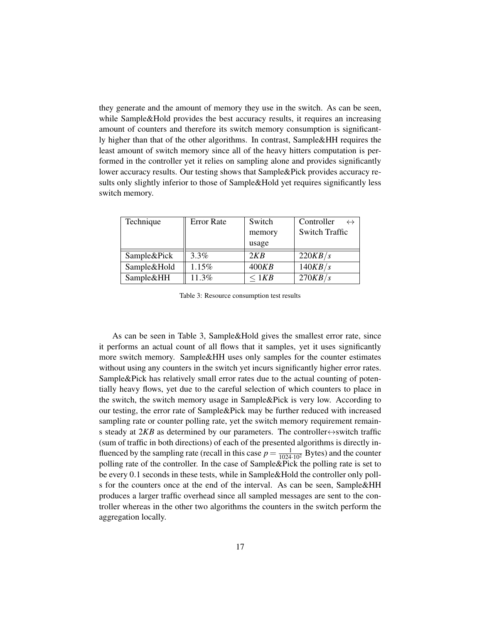they generate and the amount of memory they use in the switch. As can be seen, while Sample&Hold provides the best accuracy results, it requires an increasing amount of counters and therefore its switch memory consumption is significantly higher than that of the other algorithms. In contrast, Sample&HH requires the least amount of switch memory since all of the heavy hitters computation is performed in the controller yet it relies on sampling alone and provides significantly lower accuracy results. Our testing shows that Sample&Pick provides accuracy results only slightly inferior to those of Sample&Hold yet requires significantly less switch memory.

| Technique   | <b>Error</b> Rate | Switch     | Controller<br>$\leftrightarrow$ |
|-------------|-------------------|------------|---------------------------------|
|             |                   | memory     | <b>Switch Traffic</b>           |
|             |                   | usage      |                                 |
| Sample&Pick | 3.3%              | 2KB        | 220KB/s                         |
| Sample&Hold | 1.15%             | 400KB      | 140KB/s                         |
| Sample&HH   | 11.3%             | $\leq$ 1KB | 270KB/s                         |

Table 3: Resource consumption test results

As can be seen in Table 3, Sample&Hold gives the smallest error rate, since it performs an actual count of all flows that it samples, yet it uses significantly more switch memory. Sample&HH uses only samples for the counter estimates without using any counters in the switch yet incurs significantly higher error rates. Sample&Pick has relatively small error rates due to the actual counting of potentially heavy flows, yet due to the careful selection of which counters to place in the switch, the switch memory usage in Sample&Pick is very low. According to our testing, the error rate of Sample&Pick may be further reduced with increased sampling rate or counter polling rate, yet the switch memory requirement remains steady at  $2KB$  as determined by our parameters. The controller $\leftrightarrow$ switch traffic (sum of traffic in both directions) of each of the presented algorithms is directly influenced by the sampling rate (recall in this case  $p = \frac{1}{1024 \cdot 10^2}$  Bytes) and the counter polling rate of the controller. In the case of Sample&Pick the polling rate is set to be every 0.1 seconds in these tests, while in Sample&Hold the controller only polls for the counters once at the end of the interval. As can be seen, Sample&HH produces a larger traffic overhead since all sampled messages are sent to the controller whereas in the other two algorithms the counters in the switch perform the aggregation locally.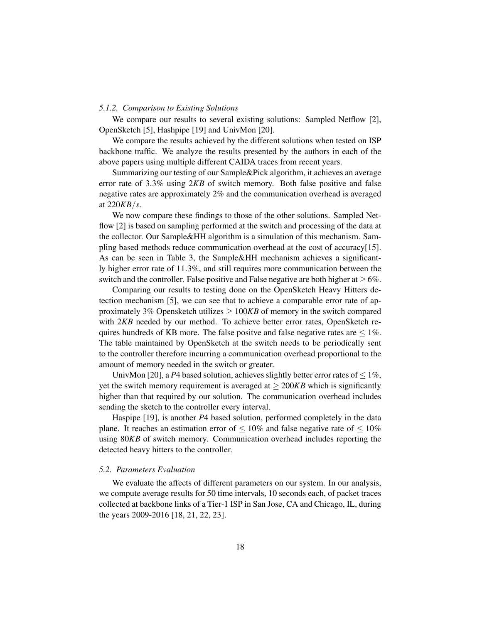#### *5.1.2. Comparison to Existing Solutions*

We compare our results to several existing solutions: Sampled Netflow [2], OpenSketch [5], Hashpipe [19] and UnivMon [20].

We compare the results achieved by the different solutions when tested on ISP backbone traffic. We analyze the results presented by the authors in each of the above papers using multiple different CAIDA traces from recent years.

Summarizing our testing of our Sample&Pick algorithm, it achieves an average error rate of 3.3% using 2*KB* of switch memory. Both false positive and false negative rates are approximately 2% and the communication overhead is averaged at 220*KB*/*s*.

We now compare these findings to those of the other solutions. Sampled Netflow [2] is based on sampling performed at the switch and processing of the data at the collector. Our Sample&HH algorithm is a simulation of this mechanism. Sampling based methods reduce communication overhead at the cost of accuracy[15]. As can be seen in Table 3, the Sample&HH mechanism achieves a significantly higher error rate of 11.3%, and still requires more communication between the switch and the controller. False positive and False negative are both higher at  $> 6\%$ .

Comparing our results to testing done on the OpenSketch Heavy Hitters detection mechanism [5], we can see that to achieve a comparable error rate of approximately 3% Opensketch utilizes  $\geq 100KB$  of memory in the switch compared with 2*KB* needed by our method. To achieve better error rates, OpenSketch requires hundreds of KB more. The false positve and false negative rates are  $\leq 1\%$ . The table maintained by OpenSketch at the switch needs to be periodically sent to the controller therefore incurring a communication overhead proportional to the amount of memory needed in the switch or greater.

UnivMon [20], a P4 based solution, achieves slightly better error rates of  $\leq 1\%$ , yet the switch memory requirement is averaged at  $\geq 200KB$  which is significantly higher than that required by our solution. The communication overhead includes sending the sketch to the controller every interval.

Haspipe [19], is another *P*4 based solution, performed completely in the data plane. It reaches an estimation error of  $\leq 10\%$  and false negative rate of  $\leq 10\%$ using 80*KB* of switch memory. Communication overhead includes reporting the detected heavy hitters to the controller.

#### *5.2. Parameters Evaluation*

We evaluate the affects of different parameters on our system. In our analysis, we compute average results for 50 time intervals, 10 seconds each, of packet traces collected at backbone links of a Tier-1 ISP in San Jose, CA and Chicago, IL, during the years 2009-2016 [18, 21, 22, 23].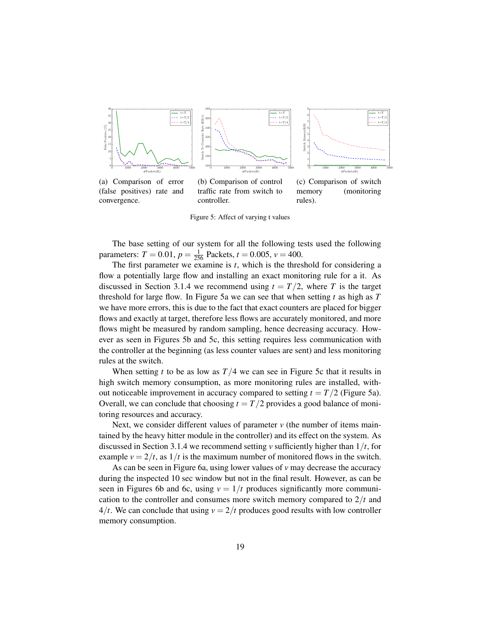

(a) Comparison of error (false positives) rate and convergence.

(b) Comparison of control traffic rate from switch to controller.

(c) Comparison of switch memory (monitoring rules).

Figure 5: Affect of varying t values

The base setting of our system for all the following tests used the following parameters:  $T = 0.01$ ,  $p = \frac{1}{256}$  Packets,  $t = 0.005$ ,  $v = 400$ .

The first parameter we examine is  $t$ , which is the threshold for considering a flow a potentially large flow and installing an exact monitoring rule for a it. As discussed in Section 3.1.4 we recommend using  $t = T/2$ , where *T* is the target threshold for large flow. In Figure 5a we can see that when setting *t* as high as *T* we have more errors, this is due to the fact that exact counters are placed for bigger flows and exactly at target, therefore less flows are accurately monitored, and more flows might be measured by random sampling, hence decreasing accuracy. However as seen in Figures 5b and 5c, this setting requires less communication with the controller at the beginning (as less counter values are sent) and less monitoring rules at the switch.

When setting *t* to be as low as  $T/4$  we can see in Figure 5c that it results in high switch memory consumption, as more monitoring rules are installed, without noticeable improvement in accuracy compared to setting  $t = T/2$  (Figure 5a). Overall, we can conclude that choosing  $t = T/2$  provides a good balance of monitoring resources and accuracy.

Next, we consider different values of parameter *v* (the number of items maintained by the heavy hitter module in the controller) and its effect on the system. As discussed in Section 3.1.4 we recommend setting  $\nu$  sufficiently higher than  $1/t$ , for example  $v = 2/t$ , as  $1/t$  is the maximum number of monitored flows in the switch.

As can be seen in Figure 6a, using lower values of *v* may decrease the accuracy during the inspected 10 sec window but not in the final result. However, as can be seen in Figures 6b and 6c, using  $v = 1/t$  produces significantly more communication to the controller and consumes more switch memory compared to 2/*t* and  $4/t$ . We can conclude that using  $v = 2/t$  produces good results with low controller memory consumption.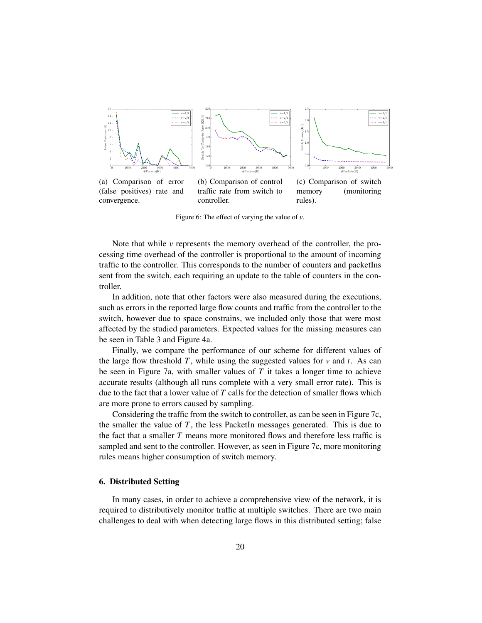

Figure 6: The effect of varying the value of *v*.

Note that while *v* represents the memory overhead of the controller, the processing time overhead of the controller is proportional to the amount of incoming traffic to the controller. This corresponds to the number of counters and packetIns sent from the switch, each requiring an update to the table of counters in the controller.

In addition, note that other factors were also measured during the executions, such as errors in the reported large flow counts and traffic from the controller to the switch, however due to space constrains, we included only those that were most affected by the studied parameters. Expected values for the missing measures can be seen in Table 3 and Figure 4a.

Finally, we compare the performance of our scheme for different values of the large flow threshold  $T$ , while using the suggested values for  $v$  and  $t$ . As can be seen in Figure 7a, with smaller values of *T* it takes a longer time to achieve accurate results (although all runs complete with a very small error rate). This is due to the fact that a lower value of *T* calls for the detection of smaller flows which are more prone to errors caused by sampling.

Considering the traffic from the switch to controller, as can be seen in Figure 7c, the smaller the value of *T*, the less PacketIn messages generated. This is due to the fact that a smaller *T* means more monitored flows and therefore less traffic is sampled and sent to the controller. However, as seen in Figure 7c, more monitoring rules means higher consumption of switch memory.

## 6. Distributed Setting

In many cases, in order to achieve a comprehensive view of the network, it is required to distributively monitor traffic at multiple switches. There are two main challenges to deal with when detecting large flows in this distributed setting; false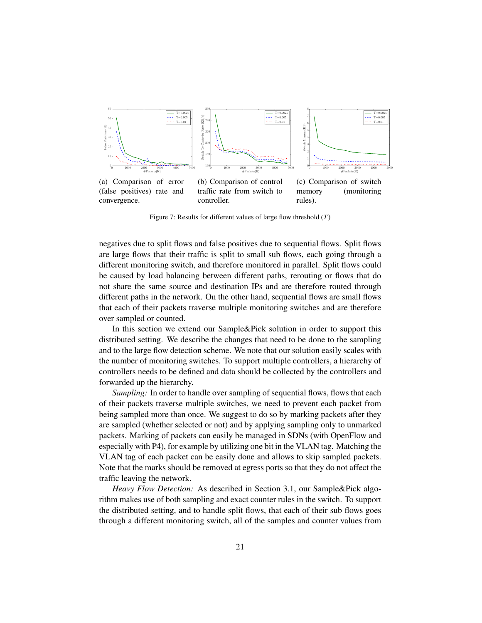

Figure 7: Results for different values of large flow threshold (*T*)

negatives due to split flows and false positives due to sequential flows. Split flows are large flows that their traffic is split to small sub flows, each going through a different monitoring switch, and therefore monitored in parallel. Split flows could be caused by load balancing between different paths, rerouting or flows that do not share the same source and destination IPs and are therefore routed through different paths in the network. On the other hand, sequential flows are small flows that each of their packets traverse multiple monitoring switches and are therefore over sampled or counted.

In this section we extend our Sample&Pick solution in order to support this distributed setting. We describe the changes that need to be done to the sampling and to the large flow detection scheme. We note that our solution easily scales with the number of monitoring switches. To support multiple controllers, a hierarchy of controllers needs to be defined and data should be collected by the controllers and forwarded up the hierarchy.

*Sampling:* In order to handle over sampling of sequential flows, flows that each of their packets traverse multiple switches, we need to prevent each packet from being sampled more than once. We suggest to do so by marking packets after they are sampled (whether selected or not) and by applying sampling only to unmarked packets. Marking of packets can easily be managed in SDNs (with OpenFlow and especially with P4), for example by utilizing one bit in the VLAN tag. Matching the VLAN tag of each packet can be easily done and allows to skip sampled packets. Note that the marks should be removed at egress ports so that they do not affect the traffic leaving the network.

*Heavy Flow Detection:* As described in Section 3.1, our Sample&Pick algorithm makes use of both sampling and exact counter rules in the switch. To support the distributed setting, and to handle split flows, that each of their sub flows goes through a different monitoring switch, all of the samples and counter values from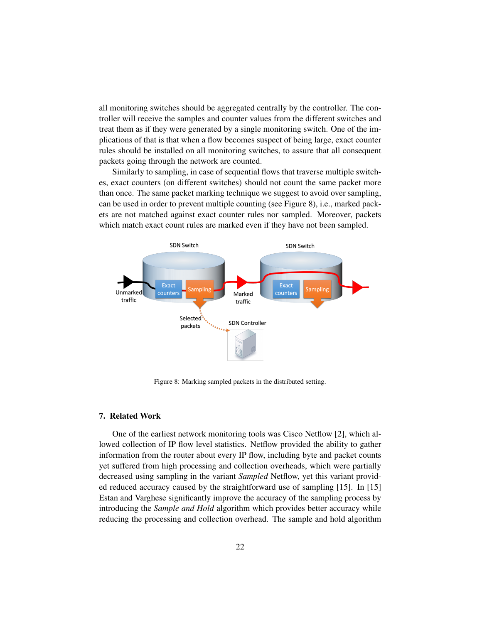all monitoring switches should be aggregated centrally by the controller. The controller will receive the samples and counter values from the different switches and treat them as if they were generated by a single monitoring switch. One of the implications of that is that when a flow becomes suspect of being large, exact counter rules should be installed on all monitoring switches, to assure that all consequent packets going through the network are counted.

Similarly to sampling, in case of sequential flows that traverse multiple switches, exact counters (on different switches) should not count the same packet more than once. The same packet marking technique we suggest to avoid over sampling, can be used in order to prevent multiple counting (see Figure 8), i.e., marked packets are not matched against exact counter rules nor sampled. Moreover, packets which match exact count rules are marked even if they have not been sampled.



Figure 8: Marking sampled packets in the distributed setting.

## 7. Related Work

One of the earliest network monitoring tools was Cisco Netflow [2], which allowed collection of IP flow level statistics. Netflow provided the ability to gather information from the router about every IP flow, including byte and packet counts yet suffered from high processing and collection overheads, which were partially decreased using sampling in the variant *Sampled* Netflow, yet this variant provided reduced accuracy caused by the straightforward use of sampling [15]. In [15] Estan and Varghese significantly improve the accuracy of the sampling process by introducing the *Sample and Hold* algorithm which provides better accuracy while reducing the processing and collection overhead. The sample and hold algorithm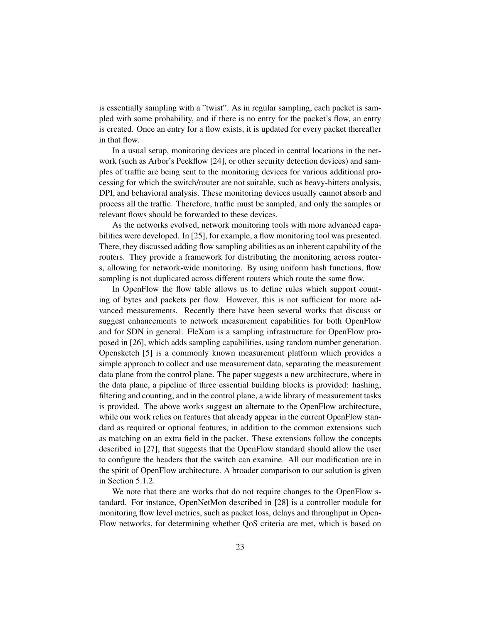is essentially sampling with a "twist". As in regular sampling, each packet is sampled with some probability, and if there is no entry for the packet's flow, an entry is created. Once an entry for a flow exists, it is updated for every packet thereafter in that flow.

In a usual setup, monitoring devices are placed in central locations in the network (such as Arbor's Peekflow [24], or other security detection devices) and samples of traffic are being sent to the monitoring devices for various additional processing for which the switch/router are not suitable, such as heavy-hitters analysis, DPI, and behavioral analysis. These monitoring devices usually cannot absorb and process all the traffic. Therefore, traffic must be sampled, and only the samples or relevant flows should be forwarded to these devices.

As the networks evolved, network monitoring tools with more advanced capabilities were developed. In [25], for example, a flow monitoring tool was presented. There, they discussed adding flow sampling abilities as an inherent capability of the routers. They provide a framework for distributing the monitoring across routers, allowing for network-wide monitoring. By using uniform hash functions, flow sampling is not duplicated across different routers which route the same flow.

In OpenFlow the flow table allows us to define rules which support counting of bytes and packets per flow. However, this is not sufficient for more advanced measurements. Recently there have been several works that discuss or suggest enhancements to network measurement capabilities for both OpenFlow and for SDN in general. FleXam is a sampling infrastructure for OpenFlow proposed in [26], which adds sampling capabilities, using random number generation. Opensketch [5] is a commonly known measurement platform which provides a simple approach to collect and use measurement data, separating the measurement data plane from the control plane. The paper suggests a new architecture, where in the data plane, a pipeline of three essential building blocks is provided: hashing, filtering and counting, and in the control plane, a wide library of measurement tasks is provided. The above works suggest an alternate to the OpenFlow architecture, while our work relies on features that already appear in the current OpenFlow standard as required or optional features, in addition to the common extensions such as matching on an extra field in the packet. These extensions follow the concepts described in [27], that suggests that the OpenFlow standard should allow the user to configure the headers that the switch can examine. All our modification are in the spirit of OpenFlow architecture. A broader comparison to our solution is given in Section 5.1.2.

We note that there are works that do not require changes to the OpenFlow standard. For instance, OpenNetMon described in [28] is a controller module for monitoring flow level metrics, such as packet loss, delays and throughput in Open-Flow networks, for determining whether QoS criteria are met, which is based on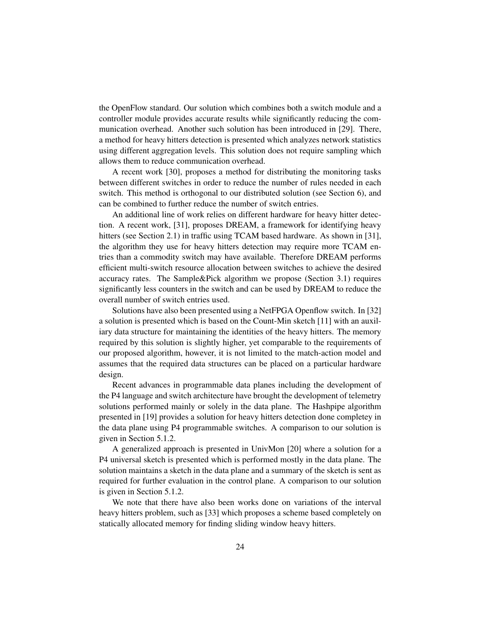the OpenFlow standard. Our solution which combines both a switch module and a controller module provides accurate results while significantly reducing the communication overhead. Another such solution has been introduced in [29]. There, a method for heavy hitters detection is presented which analyzes network statistics using different aggregation levels. This solution does not require sampling which allows them to reduce communication overhead.

A recent work [30], proposes a method for distributing the monitoring tasks between different switches in order to reduce the number of rules needed in each switch. This method is orthogonal to our distributed solution (see Section 6), and can be combined to further reduce the number of switch entries.

An additional line of work relies on different hardware for heavy hitter detection. A recent work, [31], proposes DREAM, a framework for identifying heavy hitters (see Section 2.1) in traffic using TCAM based hardware. As shown in [31], the algorithm they use for heavy hitters detection may require more TCAM entries than a commodity switch may have available. Therefore DREAM performs efficient multi-switch resource allocation between switches to achieve the desired accuracy rates. The Sample&Pick algorithm we propose (Section 3.1) requires significantly less counters in the switch and can be used by DREAM to reduce the overall number of switch entries used.

Solutions have also been presented using a NetFPGA Openflow switch. In [32] a solution is presented which is based on the Count-Min sketch [11] with an auxiliary data structure for maintaining the identities of the heavy hitters. The memory required by this solution is slightly higher, yet comparable to the requirements of our proposed algorithm, however, it is not limited to the match-action model and assumes that the required data structures can be placed on a particular hardware design.

Recent advances in programmable data planes including the development of the P4 language and switch architecture have brought the development of telemetry solutions performed mainly or solely in the data plane. The Hashpipe algorithm presented in [19] provides a solution for heavy hitters detection done completey in the data plane using P4 programmable switches. A comparison to our solution is given in Section 5.1.2.

A generalized approach is presented in UnivMon [20] where a solution for a P4 universal sketch is presented which is performed mostly in the data plane. The solution maintains a sketch in the data plane and a summary of the sketch is sent as required for further evaluation in the control plane. A comparison to our solution is given in Section 5.1.2.

We note that there have also been works done on variations of the interval heavy hitters problem, such as [33] which proposes a scheme based completely on statically allocated memory for finding sliding window heavy hitters.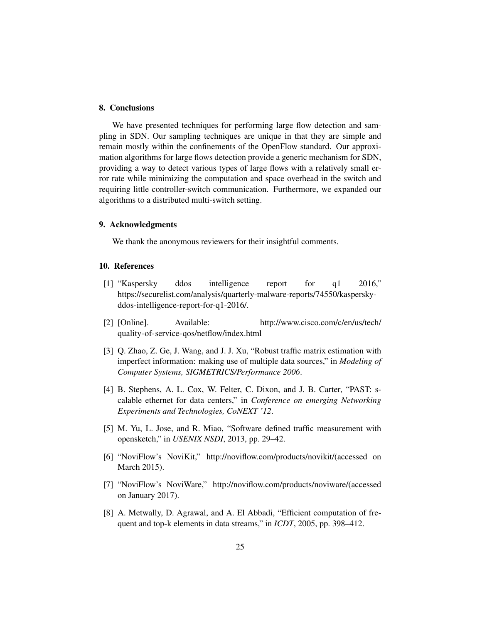## 8. Conclusions

We have presented techniques for performing large flow detection and sampling in SDN. Our sampling techniques are unique in that they are simple and remain mostly within the confinements of the OpenFlow standard. Our approximation algorithms for large flows detection provide a generic mechanism for SDN, providing a way to detect various types of large flows with a relatively small error rate while minimizing the computation and space overhead in the switch and requiring little controller-switch communication. Furthermore, we expanded our algorithms to a distributed multi-switch setting.

#### 9. Acknowledgments

We thank the anonymous reviewers for their insightful comments.

## 10. References

- [1] "Kaspersky ddos intelligence report for q1 2016," https://securelist.com/analysis/quarterly-malware-reports/74550/kasperskyddos-intelligence-report-for-q1-2016/.
- [2] [Online]. Available: http://www.cisco.com/c/en/us/tech/ quality-of-service-qos/netflow/index.html
- [3] Q. Zhao, Z. Ge, J. Wang, and J. J. Xu, "Robust traffic matrix estimation with imperfect information: making use of multiple data sources," in *Modeling of Computer Systems, SIGMETRICS/Performance 2006*.
- [4] B. Stephens, A. L. Cox, W. Felter, C. Dixon, and J. B. Carter, "PAST: scalable ethernet for data centers," in *Conference on emerging Networking Experiments and Technologies, CoNEXT '12*.
- [5] M. Yu, L. Jose, and R. Miao, "Software defined traffic measurement with opensketch," in *USENIX NSDI*, 2013, pp. 29–42.
- [6] "NoviFlow's NoviKit," http://noviflow.com/products/novikit/(accessed on March 2015).
- [7] "NoviFlow's NoviWare," http://noviflow.com/products/noviware/(accessed on January 2017).
- [8] A. Metwally, D. Agrawal, and A. El Abbadi, "Efficient computation of frequent and top-k elements in data streams," in *ICDT*, 2005, pp. 398–412.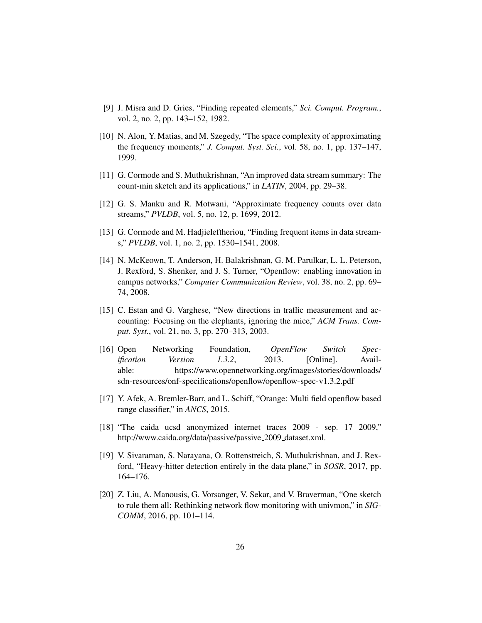- [9] J. Misra and D. Gries, "Finding repeated elements," *Sci. Comput. Program.*, vol. 2, no. 2, pp. 143–152, 1982.
- [10] N. Alon, Y. Matias, and M. Szegedy, "The space complexity of approximating the frequency moments," *J. Comput. Syst. Sci.*, vol. 58, no. 1, pp. 137–147, 1999.
- [11] G. Cormode and S. Muthukrishnan, "An improved data stream summary: The count-min sketch and its applications," in *LATIN*, 2004, pp. 29–38.
- [12] G. S. Manku and R. Motwani, "Approximate frequency counts over data streams," *PVLDB*, vol. 5, no. 12, p. 1699, 2012.
- [13] G. Cormode and M. Hadjieleftheriou, "Finding frequent items in data streams," *PVLDB*, vol. 1, no. 2, pp. 1530–1541, 2008.
- [14] N. McKeown, T. Anderson, H. Balakrishnan, G. M. Parulkar, L. L. Peterson, J. Rexford, S. Shenker, and J. S. Turner, "Openflow: enabling innovation in campus networks," *Computer Communication Review*, vol. 38, no. 2, pp. 69– 74, 2008.
- [15] C. Estan and G. Varghese, "New directions in traffic measurement and accounting: Focusing on the elephants, ignoring the mice," *ACM Trans. Comput. Syst.*, vol. 21, no. 3, pp. 270–313, 2003.
- [16] Open Networking Foundation, *OpenFlow Switch Specification Version 1.3.2*, 2013. [Online]. Available: https://www.opennetworking.org/images/stories/downloads/ sdn-resources/onf-specifications/openflow/openflow-spec-v1.3.2.pdf
- [17] Y. Afek, A. Bremler-Barr, and L. Schiff, "Orange: Multi field openflow based range classifier," in *ANCS*, 2015.
- [18] "The caida ucsd anonymized internet traces 2009 sep. 17 2009," http://www.caida.org/data/passive/passive\_2009\_dataset.xml.
- [19] V. Sivaraman, S. Narayana, O. Rottenstreich, S. Muthukrishnan, and J. Rexford, "Heavy-hitter detection entirely in the data plane," in *SOSR*, 2017, pp. 164–176.
- [20] Z. Liu, A. Manousis, G. Vorsanger, V. Sekar, and V. Braverman, "One sketch to rule them all: Rethinking network flow monitoring with univmon," in *SIG-COMM*, 2016, pp. 101–114.